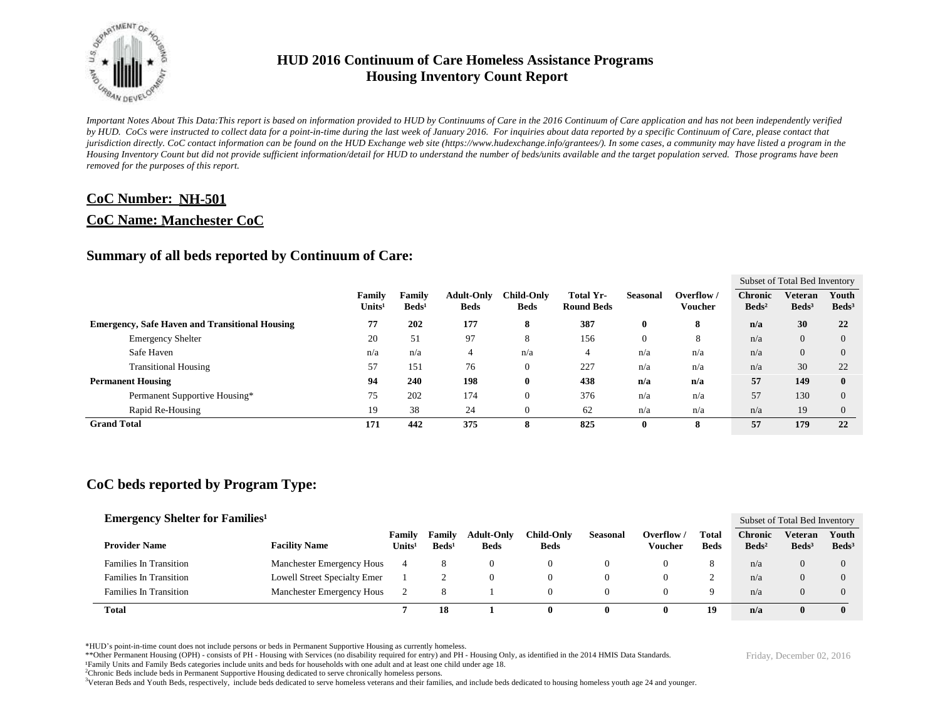

*Important Notes About This Data:This report is based on information provided to HUD by Continuums of Care in the 2016 Continuum of Care application and has not been independently verified by HUD. CoCs were instructed to collect data for a point-in-time during the last week of January 2016. For inquiries about data reported by a specific Continuum of Care, please contact that jurisdiction directly. CoC contact information can be found on the HUD Exchange web site (https://www.hudexchange.info/grantees/). In some cases, a community may have listed a program in the Housing Inventory Count but did not provide sufficient information/detail for HUD to understand the number of beds/units available and the target population served. Those programs have been removed for the purposes of this report.*

### **CoC Number: NH-501**

#### **CoC Name: Manchester CoC**

#### **Summary of all beds reported by Continuum of Care:**

|                                                       |                              |                           |                                  |                                  |                                |                 |                            |                                     | Subset of Total Bed Inventory |                          |
|-------------------------------------------------------|------------------------------|---------------------------|----------------------------------|----------------------------------|--------------------------------|-----------------|----------------------------|-------------------------------------|-------------------------------|--------------------------|
|                                                       | Family<br>Units <sup>1</sup> | Family<br>$\text{Beds}^1$ | <b>Adult-Only</b><br><b>Beds</b> | <b>Child-Only</b><br><b>Beds</b> | Total Yr-<br><b>Round Beds</b> | <b>Seasonal</b> | Overflow<br><b>Voucher</b> | <b>Chronic</b><br>Beds <sup>2</sup> | Veteran<br>Beds <sup>3</sup>  | Youth<br>$\text{Beds}^3$ |
| <b>Emergency, Safe Haven and Transitional Housing</b> | 77                           | 202                       | 177                              | 8                                | 387                            | $\mathbf{0}$    | 8                          | n/a                                 | 30                            | 22                       |
| <b>Emergency Shelter</b>                              | 20                           | 51                        | 97                               | 8                                | 156                            |                 | 8                          | n/a                                 | $\overline{0}$                | $\Omega$                 |
| Safe Haven                                            | n/a                          | n/a                       | 4                                | n/a                              | 4                              | n/a             | n/a                        | n/a                                 | $\Omega$                      | $\Omega$                 |
| <b>Transitional Housing</b>                           | 57                           | 151                       | 76                               | $\mathbf{0}$                     | 227                            | n/a             | n/a                        | n/a                                 | 30                            | 22                       |
| <b>Permanent Housing</b>                              | 94                           | 240                       | 198                              | $\bf{0}$                         | 438                            | n/a             | n/a                        | 57                                  | 149                           | $\mathbf{0}$             |
| Permanent Supportive Housing*                         | 75                           | 202                       | 174                              | $\mathbf{0}$                     | 376                            | n/a             | n/a                        | 57                                  | 130                           | $\Omega$                 |
| Rapid Re-Housing                                      | 19                           | 38                        | 24                               | $\theta$                         | 62                             | n/a             | n/a                        | n/a                                 | 19                            | $\Omega$                 |
| <b>Grand Total</b>                                    | 171                          | 442                       | 375                              | 8                                | 825                            | $\mathbf{0}$    | 8                          | 57                                  | 179                           | 22                       |

### **CoC beds reported by Program Type:**

| <b>Emergency Shelter for Families</b> <sup>1</sup> |                              |                              |                           |                                  |                                  |                 |                       |                      |                                   | Subset of Total Bed Inventory |                            |
|----------------------------------------------------|------------------------------|------------------------------|---------------------------|----------------------------------|----------------------------------|-----------------|-----------------------|----------------------|-----------------------------------|-------------------------------|----------------------------|
| <b>Provider Name</b>                               | <b>Facility Name</b>         | Family<br>Units <sup>1</sup> | Family<br>$\text{Beds}^1$ | <b>Adult-Only</b><br><b>Beds</b> | <b>Child-Only</b><br><b>Beds</b> | <b>Seasonal</b> | Overflow /<br>Voucher | Total<br><b>Beds</b> | <b>Chronic</b><br>$\text{Beds}^2$ | Veteran<br>Beds <sup>3</sup>  | Youth<br>Beds <sup>3</sup> |
| <b>Families In Transition</b>                      | Manchester Emergency Hous    | 4                            | Ō                         |                                  |                                  |                 |                       | ŏ                    | n/a                               | 0                             | $\Omega$                   |
| <b>Families In Transition</b>                      | Lowell Street Specialty Emer |                              |                           |                                  |                                  |                 |                       | ∼                    | n/a                               | $\Omega$                      | 0                          |
| <b>Families In Transition</b>                      | Manchester Emergency Hous    |                              | 8                         |                                  |                                  |                 |                       | Q                    | n/a                               | 0                             | 0                          |
| <b>Total</b>                                       |                              |                              | 18                        |                                  | 0                                |                 |                       | 19                   | n/a                               | 0                             |                            |

\*HUD's point-in-time count does not include persons or beds in Permanent Supportive Housing as currently homeless.

\*\*Other Permanent Housing (OPH) - consists of PH - Housing with Services (no disability required for entry) and PH - Housing Only, as identified in the 2014 HMIS Data Standards.

¹Family Units and Family Beds categories include units and beds for households with one adult and at least one child under age 18.

<sup>2</sup>Chronic Beds include beds in Permanent Supportive Housing dedicated to serve chronically homeless persons.

<sup>3</sup>Veteran Beds and Youth Beds, respectively, include beds dedicated to serve homeless veterans and their families, and include beds dedicated to housing homeless youth age 24 and younger.

Friday, December 02, 2016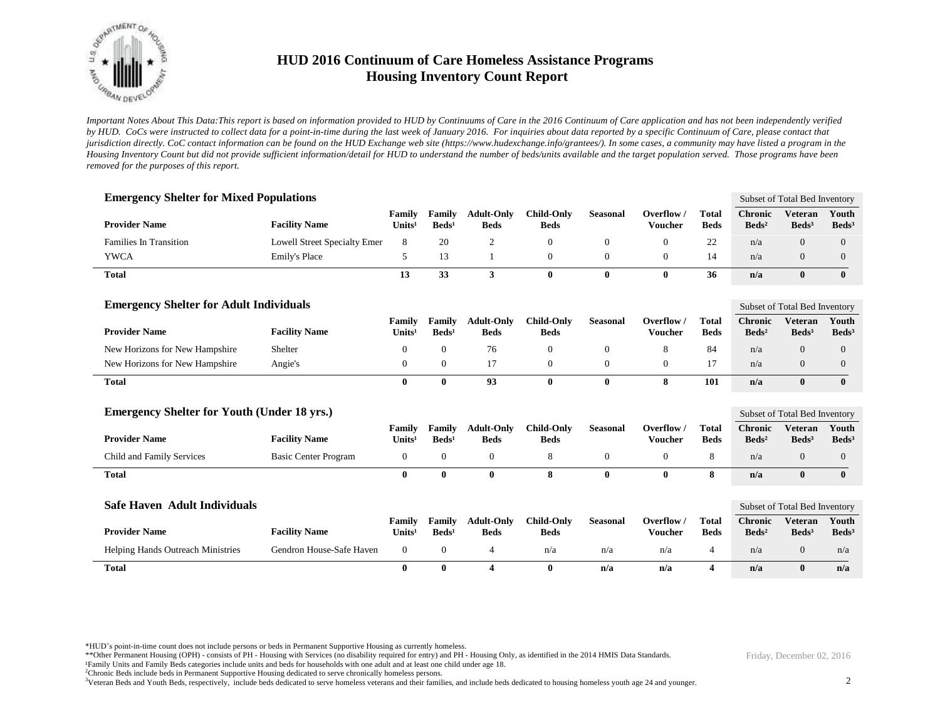

*Important Notes About This Data:This report is based on information provided to HUD by Continuums of Care in the 2016 Continuum of Care application and has not been independently verified by HUD. CoCs were instructed to collect data for a point-in-time during the last week of January 2016. For inquiries about data reported by a specific Continuum of Care, please contact that jurisdiction directly. CoC contact information can be found on the HUD Exchange web site (https://www.hudexchange.info/grantees/). In some cases, a community may have listed a program in the Housing Inventory Count but did not provide sufficient information/detail for HUD to understand the number of beds/units available and the target population served. Those programs have been removed for the purposes of this report.*

| <b>Emergency Shelter for Mixed Populations</b>     |                                     |                              |                             |                                  |                                  |                 |                                       |                             |                                     | Subset of Total Bed Inventory       |                            |
|----------------------------------------------------|-------------------------------------|------------------------------|-----------------------------|----------------------------------|----------------------------------|-----------------|---------------------------------------|-----------------------------|-------------------------------------|-------------------------------------|----------------------------|
| <b>Provider Name</b>                               | <b>Facility Name</b>                | Family<br>Units <sup>1</sup> | Family<br>Beds <sup>1</sup> | <b>Adult-Only</b><br><b>Beds</b> | <b>Child-Only</b><br><b>Beds</b> | <b>Seasonal</b> | Overflow $\sqrt{ }$<br><b>Voucher</b> | <b>Total</b><br><b>Beds</b> | <b>Chronic</b><br>Beds <sup>2</sup> | <b>Veteran</b><br>Beds <sup>3</sup> | Youth<br>$\text{Beds}^3$   |
| <b>Families In Transition</b>                      | <b>Lowell Street Specialty Emer</b> | 8                            | 20                          | $\overline{c}$                   | $\mathbf{0}$                     | $\mathbf{0}$    | $\theta$                              | 22                          | n/a                                 | $\overline{0}$                      | $\overline{0}$             |
| <b>YWCA</b>                                        | Emily's Place                       | 5                            | 13                          |                                  | $\mathbf{0}$                     | 0               | $\theta$                              | 14                          | n/a                                 | $\overline{0}$                      | $\overline{0}$             |
| <b>Total</b>                                       |                                     | 13                           | 33                          | 3                                | $\bf{0}$                         | $\bf{0}$        | $\mathbf{0}$                          | 36                          | n/a                                 | $\bf{0}$                            | $\bf{0}$                   |
| <b>Emergency Shelter for Adult Individuals</b>     |                                     |                              |                             |                                  |                                  |                 |                                       |                             |                                     | Subset of Total Bed Inventory       |                            |
| <b>Provider Name</b>                               | <b>Facility Name</b>                | Family<br>Units <sup>1</sup> | Family<br>$\text{Beds}^1$   | <b>Adult-Only</b><br><b>Beds</b> | <b>Child-Only</b><br><b>Beds</b> | <b>Seasonal</b> | Overflow /<br><b>Voucher</b>          | Total<br><b>Beds</b>        | <b>Chronic</b><br>Beds <sup>2</sup> | <b>Veteran</b><br>Beds <sup>3</sup> | Youth<br>Beds <sup>3</sup> |
| New Horizons for New Hampshire                     | Shelter                             | $\theta$                     | $\mathbf{0}$                | 76                               | $\theta$                         | $\overline{0}$  | 8                                     | 84                          | n/a                                 | $\overline{0}$                      | $\overline{0}$             |
| New Horizons for New Hampshire                     | Angie's                             | $\boldsymbol{0}$             | $\overline{0}$              | 17                               | $\mathbf{0}$                     | $\overline{0}$  | $\mathbf{0}$                          | 17                          | n/a                                 | $\overline{0}$                      | $\mathbf{0}$               |
| <b>Total</b>                                       |                                     | $\bf{0}$                     | $\bf{0}$                    | 93                               | $\bf{0}$                         | $\bf{0}$        | 8                                     | 101                         | n/a                                 | $\bf{0}$                            | $\bf{0}$                   |
| <b>Emergency Shelter for Youth (Under 18 yrs.)</b> |                                     |                              |                             |                                  |                                  |                 |                                       |                             |                                     | Subset of Total Bed Inventory       |                            |
| <b>Provider Name</b>                               | <b>Facility Name</b>                | Family<br>Units <sup>1</sup> | Family<br>Beds <sup>1</sup> | <b>Adult-Only</b><br><b>Beds</b> | <b>Child-Only</b><br><b>Beds</b> | <b>Seasonal</b> | Overflow /<br><b>Voucher</b>          | <b>Total</b><br><b>Beds</b> | <b>Chronic</b><br>$\text{Beds}^2$   | <b>Veteran</b><br>Beds <sup>3</sup> | Youth<br>$\text{Beds}^3$   |
| Child and Family Services                          | <b>Basic Center Program</b>         | $\mathbf{0}$                 | $\boldsymbol{0}$            | $\mathbf{0}$                     | 8                                | $\mathbf{0}$    | $\mathbf{0}$                          | 8                           | n/a                                 | $\overline{0}$                      | $\mathbf{0}$               |
| <b>Total</b>                                       |                                     | $\bf{0}$                     | $\bf{0}$                    | $\bf{0}$                         | 8                                | $\bf{0}$        | $\bf{0}$                              | 8                           | n/a                                 | $\bf{0}$                            | $\bf{0}$                   |
| <b>Safe Haven Adult Individuals</b>                |                                     |                              |                             |                                  |                                  |                 |                                       |                             |                                     | Subset of Total Bed Inventory       |                            |
| <b>Provider Name</b>                               | <b>Facility Name</b>                | Family<br>Units <sup>1</sup> | Family<br>Beds <sup>1</sup> | <b>Adult-Only</b><br><b>Beds</b> | <b>Child-Only</b><br><b>Beds</b> | <b>Seasonal</b> | Overflow /<br><b>Voucher</b>          | <b>Total</b><br><b>Beds</b> | <b>Chronic</b><br>Beds <sup>2</sup> | <b>Veteran</b><br>Beds <sup>3</sup> | Youth<br>$\text{Beds}^3$   |
| Helping Hands Outreach Ministries                  | Gendron House-Safe Haven            | $\mathbf{0}$                 | $\boldsymbol{0}$            | $\overline{4}$                   | n/a                              | n/a             | n/a                                   | $\overline{4}$              | n/a                                 | $\overline{0}$                      | n/a                        |
| <b>Total</b>                                       |                                     | $\mathbf{0}$                 | $\bf{0}$                    | $\overline{\mathbf{4}}$          | $\bf{0}$                         | n/a             | n/a                                   | $\overline{4}$              | n/a                                 | $\bf{0}$                            | n/a                        |

\*HUD's point-in-time count does not include persons or beds in Permanent Supportive Housing as currently homeless.

\*\*Other Permanent Housing (OPH) - consists of PH - Housing with Services (no disability required for entry) and PH - Housing Only, as identified in the 2014 HMIS Data Standards.

¹Family Units and Family Beds categories include units and beds for households with one adult and at least one child under age 18.

<sup>2</sup>Chronic Beds include beds in Permanent Supportive Housing dedicated to serve chronically homeless persons.

<sup>3</sup>Veteran Beds and Youth Beds, respectively, include beds dedicated to serve homeless veterans and their families, and include beds dedicated to housing homeless youth age 24 and younger.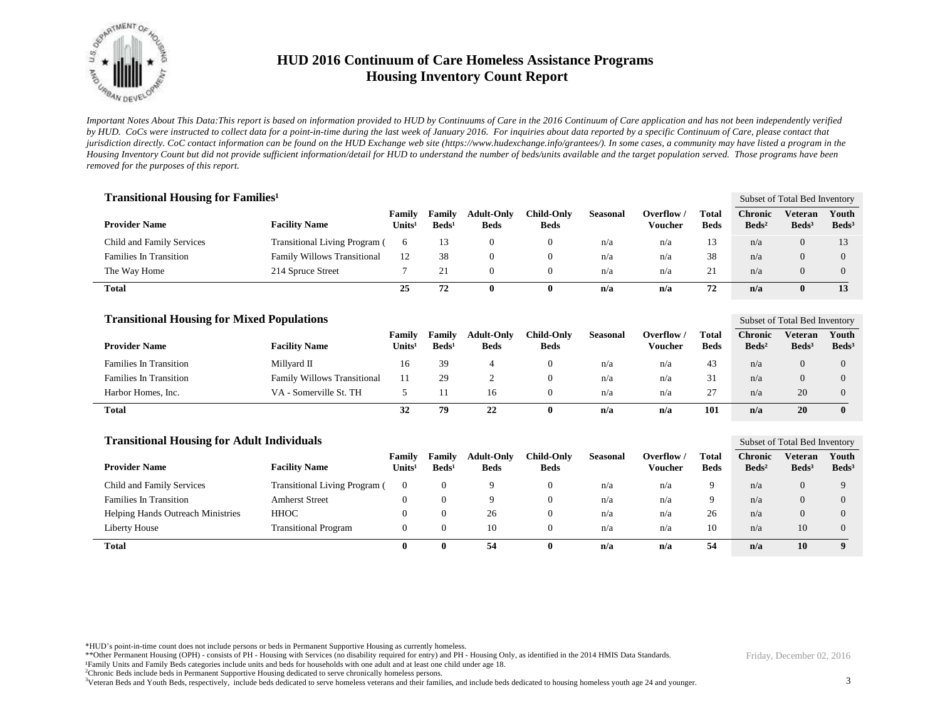

*Important Notes About This Data:This report is based on information provided to HUD by Continuums of Care in the 2016 Continuum of Care application and has not been independently verified by HUD. CoCs were instructed to collect data for a point-in-time during the last week of January 2016. For inquiries about data reported by a specific Continuum of Care, please contact that jurisdiction directly. CoC contact information can be found on the HUD Exchange web site (https://www.hudexchange.info/grantees/). In some cases, a community may have listed a program in the Housing Inventory Count but did not provide sufficient information/detail for HUD to understand the number of beds/units available and the target population served. Those programs have been removed for the purposes of this report.*

| <b>Transitional Housing for Families</b> <sup>1</sup> |                                      |                              |                                  |                                  |                                  |                 |                       |                      |                                   | Subset of Total Bed Inventory |                            |
|-------------------------------------------------------|--------------------------------------|------------------------------|----------------------------------|----------------------------------|----------------------------------|-----------------|-----------------------|----------------------|-----------------------------------|-------------------------------|----------------------------|
| <b>Provider Name</b>                                  | <b>Facility Name</b>                 | Family<br>Units <sup>1</sup> | <b>Family</b><br>$\text{Beds}^1$ | <b>Adult-Only</b><br><b>Beds</b> | <b>Child-Only</b><br><b>Beds</b> | <b>Seasonal</b> | Overflow /<br>Voucher | Total<br><b>Beds</b> | <b>Chronic</b><br>$\text{Beds}^2$ | Veteran<br>$\text{Beds}^3$    | Youth<br>Beds <sup>3</sup> |
| Child and Family Services                             | <b>Transitional Living Program (</b> | 6                            | 13                               |                                  |                                  | n/a             | n/a                   | 13                   | n/a                               | 0                             | 13                         |
| <b>Families In Transition</b>                         | <b>Family Willows Transitional</b>   | 12                           | 38                               |                                  |                                  | n/a             | n/a                   | 38                   | n/a                               | 0                             | $\Omega$                   |
| The Way Home                                          | 214 Spruce Street                    |                              | 21                               |                                  |                                  | n/a             | n/a                   | 21                   | n/a                               | $\Omega$                      | $\Omega$                   |
| <b>Total</b>                                          |                                      | 25                           | 72                               |                                  | 0                                | n/a             | n/a                   | 72                   | n/a                               | $\bf{0}$                      | 13                         |

| <b>Transitional Housing for Mixed Populations</b> |                                    |                              |                           |                                  |                           |                 |                       |                      |                                     | Subset of Total Bed Inventory |                            |  |
|---------------------------------------------------|------------------------------------|------------------------------|---------------------------|----------------------------------|---------------------------|-----------------|-----------------------|----------------------|-------------------------------------|-------------------------------|----------------------------|--|
| <b>Provider Name</b>                              | <b>Facility Name</b>               | Family<br>Units <sup>1</sup> | Family<br>$\text{Beds}^1$ | <b>Adult-Only</b><br><b>Beds</b> | Child-Onlv<br><b>Beds</b> | <b>Seasonal</b> | Overflow /<br>Voucher | Total<br><b>Beds</b> | <b>Chronic</b><br>Beds <sup>2</sup> | Veteran<br>$\text{Beds}^3$    | Youth<br>Beds <sup>3</sup> |  |
| <b>Families In Transition</b>                     | Millvard II                        | 16                           | 39                        |                                  |                           | n/a             | n/a                   | 43                   | n/a                                 | $\theta$                      |                            |  |
| <b>Families In Transition</b>                     | <b>Family Willows Transitional</b> |                              | 29                        |                                  |                           | n/a             | n/a                   | 31                   | n/a                                 | $\theta$                      |                            |  |
| Harbor Homes, Inc.                                | VA - Somerville St. TH             |                              |                           | 16                               |                           | n/a             | n/a                   | 27                   | n/a                                 | 20                            |                            |  |
| <b>Total</b>                                      |                                    | 32                           | 79                        | 22                               |                           | n/a             | n/a                   | 101                  | n/a                                 | 20                            |                            |  |

| <b>Transitional Housing for Adult Individuals</b> |                                      |                                     |                           |                                  |                           |                 |                       |                      |                                     |                              | Subset of Total Bed Inventory |  |  |
|---------------------------------------------------|--------------------------------------|-------------------------------------|---------------------------|----------------------------------|---------------------------|-----------------|-----------------------|----------------------|-------------------------------------|------------------------------|-------------------------------|--|--|
| <b>Provider Name</b>                              | <b>Facility Name</b>                 | <b>Family</b><br>Units <sup>1</sup> | Family<br>$\text{Beds}^1$ | <b>Adult-Only</b><br><b>Beds</b> | Child-Onlv<br><b>Beds</b> | <b>Seasonal</b> | Overflow /<br>Voucher | Total<br><b>Beds</b> | <b>Chronic</b><br>Beds <sup>2</sup> | Veteran<br>Beds <sup>3</sup> | Youth<br>$\text{Beds}^3$      |  |  |
| Child and Family Services                         | <b>Transitional Living Program (</b> |                                     | 0                         | Q                                | 0                         | n/a             | n/a                   | 9                    | n/a                                 | $\Omega$                     | $\Omega$                      |  |  |
| <b>Families In Transition</b>                     | <b>Amherst Street</b>                |                                     | 0                         | Q                                | 0                         | n/a             | n/a                   | 9                    | n/a                                 | $\Omega$                     |                               |  |  |
| <b>Helping Hands Outreach Ministries</b>          | <b>HHOC</b>                          |                                     | 0                         | 26                               | 0                         | n/a             | n/a                   | 26                   | n/a                                 | $\Omega$                     |                               |  |  |
| Liberty House                                     | <b>Transitional Program</b>          |                                     | 0                         | 10                               | 0                         | n/a             | n/a                   | 10                   | n/a                                 | 10                           | $\Omega$                      |  |  |
| <b>Total</b>                                      |                                      |                                     | 0                         | 54                               | -01                       | n/a             | n/a                   | 54                   | n/a                                 | 10                           |                               |  |  |

\*HUD's point-in-time count does not include persons or beds in Permanent Supportive Housing as currently homeless.

\*\*Other Permanent Housing (OPH) - consists of PH - Housing with Services (no disability required for entry) and PH - Housing Only, as identified in the 2014 HMIS Data Standards.

¹Family Units and Family Beds categories include units and beds for households with one adult and at least one child under age 18.

<sup>2</sup>Chronic Beds include beds in Permanent Supportive Housing dedicated to serve chronically homeless persons.

<sup>3</sup>Veteran Beds and Youth Beds, respectively, include beds dedicated to serve homeless veterans and their families, and include beds dedicated to housing homeless youth age 24 and younger.

Friday, December 02, 2016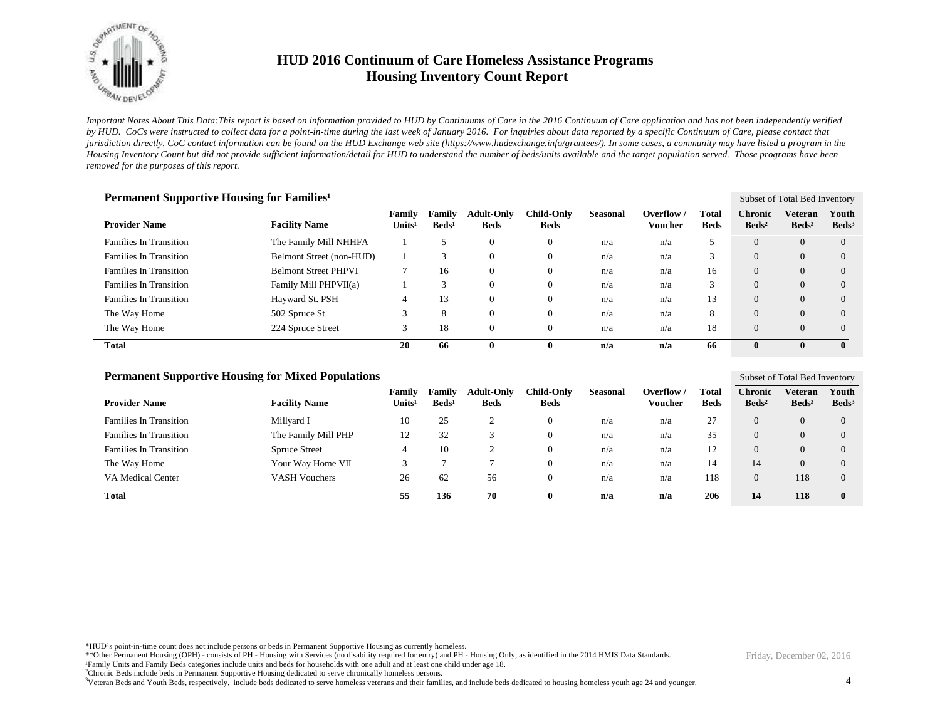

*Important Notes About This Data:This report is based on information provided to HUD by Continuums of Care in the 2016 Continuum of Care application and has not been independently verified by HUD. CoCs were instructed to collect data for a point-in-time during the last week of January 2016. For inquiries about data reported by a specific Continuum of Care, please contact that jurisdiction directly. CoC contact information can be found on the HUD Exchange web site (https://www.hudexchange.info/grantees/). In some cases, a community may have listed a program in the Housing Inventory Count but did not provide sufficient information/detail for HUD to understand the number of beds/units available and the target population served. Those programs have been removed for the purposes of this report.*

| Permanent Supportive Housing for Families <sup>1</sup> |                             |                              |                           |                                  |                           |                 |                              |                      |                                   | Subset of Total Bed Inventory |                            |  |
|--------------------------------------------------------|-----------------------------|------------------------------|---------------------------|----------------------------------|---------------------------|-----------------|------------------------------|----------------------|-----------------------------------|-------------------------------|----------------------------|--|
| <b>Provider Name</b>                                   | <b>Facility Name</b>        | Family<br>Units <sup>1</sup> | Family<br>$\text{Beds}^1$ | <b>Adult-Only</b><br><b>Beds</b> | Child-Only<br><b>Beds</b> | <b>Seasonal</b> | Overflow /<br><b>Voucher</b> | Total<br><b>Beds</b> | <b>Chronic</b><br>$\text{Beds}^2$ | Veteran<br>Beds <sup>3</sup>  | Youth<br>Beds <sup>3</sup> |  |
| <b>Families In Transition</b>                          | The Family Mill NHHFA       |                              |                           | $\theta$                         | 0                         | n/a             | n/a                          |                      | $\overline{0}$                    | $\overline{0}$                | $\Omega$                   |  |
| <b>Families In Transition</b>                          | Belmont Street (non-HUD)    |                              |                           | $\Omega$                         | v                         | n/a             | n/a                          | 3                    | $\Omega$                          | $\overline{0}$                | $\Omega$                   |  |
| <b>Families In Transition</b>                          | <b>Belmont Street PHPVI</b> | 7                            | 16                        | $\Omega$                         | 0                         | n/a             | n/a                          | 16                   | $\Omega$                          | $\overline{0}$                | $\Omega$                   |  |
| <b>Families In Transition</b>                          | Family Mill PHPVII(a)       |                              | 3                         | $\theta$                         | U                         | n/a             | n/a                          | 3                    | $\overline{0}$                    | $\overline{0}$                | $\overline{0}$             |  |
| <b>Families In Transition</b>                          | Hayward St. PSH             | 4                            | 13                        | $\Omega$                         | 0                         | n/a             | n/a                          | 13                   | $\Omega$                          | $\Omega$                      | $\Omega$                   |  |
| The Way Home                                           | 502 Spruce St               | 3                            | 8                         | $\Omega$                         | U                         | n/a             | n/a                          | 8                    | $\Omega$                          | $\Omega$                      | $\Omega$                   |  |
| The Way Home                                           | 224 Spruce Street           | 3                            | 18                        | $\Omega$                         | O                         | n/a             | n/a                          | 18                   | $\Omega$                          | $\Omega$                      | $\Omega$                   |  |
| Total                                                  |                             | 20                           | 66                        | $\mathbf{0}$                     | 0                         | n/a             | n/a                          | 66                   | $\bf{0}$                          |                               | $\mathbf{0}$               |  |

#### **Permanent Supportive Housing for Mixed Populations**

| <b>Provider Name</b>          | <b>Facility Name</b> | Familv<br>Units <sup>1</sup> | Family<br>$\text{Beds}^1$ | <b>Adult-Only</b><br><b>Beds</b> | Child-Onlv<br><b>Beds</b> | <b>Seasonal</b> | Overflow<br>Voucher | <b>Total</b><br><b>Beds</b> | <b>Chronic</b><br>$\text{Beds}^2$ | Veteran<br>Beds <sup>3</sup> | Youth<br>Beds <sup>3</sup> |
|-------------------------------|----------------------|------------------------------|---------------------------|----------------------------------|---------------------------|-----------------|---------------------|-----------------------------|-----------------------------------|------------------------------|----------------------------|
| <b>Families In Transition</b> | Millyard I           | 10                           | 25                        |                                  | $\mathbf{0}$              | n/a             | n/a                 | 27                          |                                   | $\overline{0}$               | $\Omega$                   |
| <b>Families In Transition</b> | The Family Mill PHP  | 12                           | 32                        |                                  | 0                         | n/a             | n/a                 | 35                          |                                   | $\overline{0}$               | $\Omega$                   |
| <b>Families In Transition</b> | <b>Spruce Street</b> |                              | 10                        | $\sim$                           | 0                         | n/a             | n/a                 | 12                          |                                   | $\overline{0}$               | $\Omega$                   |
| The Way Home                  | Your Way Home VII    |                              |                           |                                  | 0                         | n/a             | n/a                 | 14                          | 14 <sup>°</sup>                   | $\overline{0}$               | $\Omega$                   |
| <b>VA Medical Center</b>      | <b>VASH Vouchers</b> | 26                           | 62                        | 56                               | 0                         | n/a             | n/a                 | 118                         | $\Omega$                          | 118                          | $\Omega$                   |
| <b>Total</b>                  |                      | 55                           | 136                       | 70                               | U                         | n/a             | n/a                 | 206                         | 14                                | 118                          | $\bf{0}$                   |

\*HUD's point-in-time count does not include persons or beds in Permanent Supportive Housing as currently homeless.

\*\*Other Permanent Housing (OPH) - consists of PH - Housing with Services (no disability required for entry) and PH - Housing Only, as identified in the 2014 HMIS Data Standards.

¹Family Units and Family Beds categories include units and beds for households with one adult and at least one child under age 18.

<sup>2</sup>Chronic Beds include beds in Permanent Supportive Housing dedicated to serve chronically homeless persons.

<sup>3</sup>Veteran Beds and Youth Beds, respectively, include beds dedicated to serve homeless veterans and their families, and include beds dedicated to housing homeless youth age 24 and younger.

Friday, December 02, 2016

Subset of Total Bed Inventory